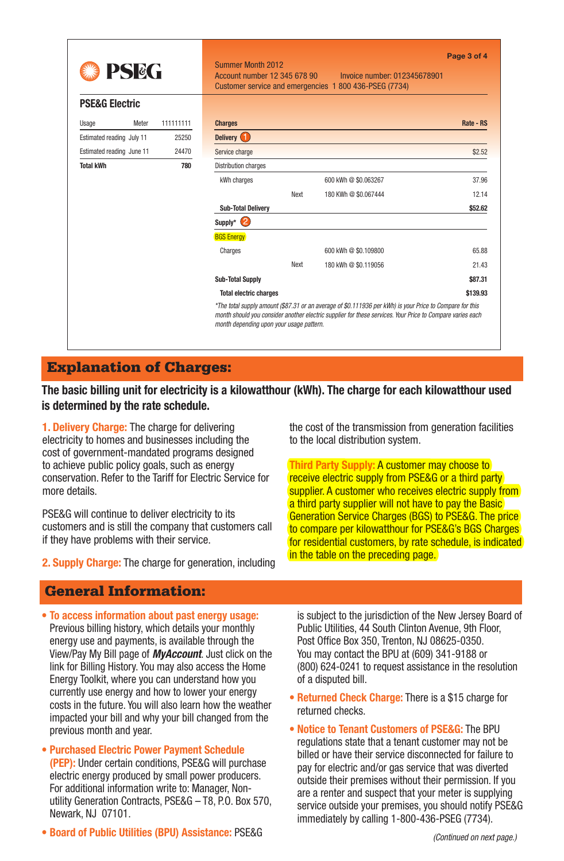| <b>PSEG</b>               |           | Page 3 of 4<br>Summer Month 2012<br>Account number 12 345 678 90<br>Invoice number: 012345678901<br>Customer service and emergencies 1800 436-PSEG (7734) |      |                                                                                                                                                                                                                       |           |
|---------------------------|-----------|-----------------------------------------------------------------------------------------------------------------------------------------------------------|------|-----------------------------------------------------------------------------------------------------------------------------------------------------------------------------------------------------------------------|-----------|
| <b>PSE&amp;G Electric</b> |           |                                                                                                                                                           |      |                                                                                                                                                                                                                       |           |
| Meter<br>Usage            | 111111111 | <b>Charges</b>                                                                                                                                            |      |                                                                                                                                                                                                                       | Rate - RS |
| Estimated reading July 11 | 25250     | Delivery <sup>1</sup>                                                                                                                                     |      |                                                                                                                                                                                                                       |           |
| Estimated reading June 11 | 24470     | Service charge                                                                                                                                            |      |                                                                                                                                                                                                                       | \$2.52    |
| <b>Total kWh</b>          | 780       | Distribution charges                                                                                                                                      |      |                                                                                                                                                                                                                       |           |
|                           |           | kWh charges                                                                                                                                               |      | 600 kWh @ \$0.063267                                                                                                                                                                                                  | 37.96     |
|                           |           |                                                                                                                                                           | Next | 180 KWh @ \$0.067444                                                                                                                                                                                                  | 12.14     |
|                           |           | <b>Sub-Total Delivery</b>                                                                                                                                 |      |                                                                                                                                                                                                                       | \$52.62   |
|                           |           | (2)<br>Supply*                                                                                                                                            |      |                                                                                                                                                                                                                       |           |
|                           |           | <b>BGS Energy</b>                                                                                                                                         |      |                                                                                                                                                                                                                       |           |
|                           |           | Charges                                                                                                                                                   |      | 600 kWh @ \$0.109800                                                                                                                                                                                                  | 65.88     |
|                           |           |                                                                                                                                                           | Next | 180 kWh @ \$0.119056                                                                                                                                                                                                  | 21.43     |
|                           |           | <b>Sub-Total Supply</b>                                                                                                                                   |      |                                                                                                                                                                                                                       | \$87.31   |
|                           |           | <b>Total electric charges</b>                                                                                                                             |      |                                                                                                                                                                                                                       | \$139.93  |
|                           |           | month depending upon your usage pattern.                                                                                                                  |      | *The total supply amount (\$87.31 or an average of \$0.111936 per kWh) is your Price to Compare for this<br>month should you consider another electric supplier for these services. Your Price to Compare varies each |           |

### Explanation of Charges:

**The basic billing unit for electricity is a kilowatthour (kWh). The charge for each kilowatthour used is determined by the rate schedule.**

**1. Delivery Charge:** The charge for delivering electricity to homes and businesses including the cost of government-mandated programs designed to achieve public policy goals, such as energy conservation. Refer to the Tariff for Electric Service for more details.

PSE&G will continue to deliver electricity to its customers and is still the company that customers call if they have problems with their service.

**2. Supply Charge:** The charge for generation, including

### General Information:

- **• To access information about past energy usage:** Previous billing history, which details your monthly energy use and payments, is available through the View/Pay My Bill page of *MyAccount*. Just click on the link for Billing History. You may also access the Home Energy Toolkit, where you can understand how you currently use energy and how to lower your energy costs in the future. You will also learn how the weather impacted your bill and why your bill changed from the previous month and year.
- **• Purchased Electric Power Payment Schedule (PEP):** Under certain conditions, PSE&G will purchase electric energy produced by small power producers. For additional information write to: Manager, Nonutility Generation Contracts, PSE&G – T8, P.O. Box 570, Newark, NJ 07101.
- **• Board of Public Utilities (BPU) Assistance:** PSE&G

the cost of the transmission from generation facilities to the local distribution system.

**Third Party Supply:** A customer may choose to receive electric supply from PSE&G or a third party supplier. A customer who receives electric supply from a third party supplier will not have to pay the Basic Generation Service Charges (BGS) to PSE&G. The price to compare per kilowatthour for PSE&G's BGS Charges for residential customers, by rate schedule, is indicated in the table on the preceding page.

is subject to the jurisdiction of the New Jersey Board of Public Utilities, 44 South Clinton Avenue, 9th Floor, Post Office Box 350, Trenton, NJ 08625-0350. You may contact the BPU at (609) 341-9188 or (800) 624-0241 to request assistance in the resolution of a disputed bill.

- **• Returned Check Charge:** There is a \$15 charge for returned checks.
- **• Notice to Tenant Customers of PSE&G:** The BPU regulations state that a tenant customer may not be billed or have their service disconnected for failure to pay for electric and/or gas service that was diverted outside their premises without their permission. If you are a renter and suspect that your meter is supplying service outside your premises, you should notify PSE&G immediately by calling 1-800-436-PSEG (7734).